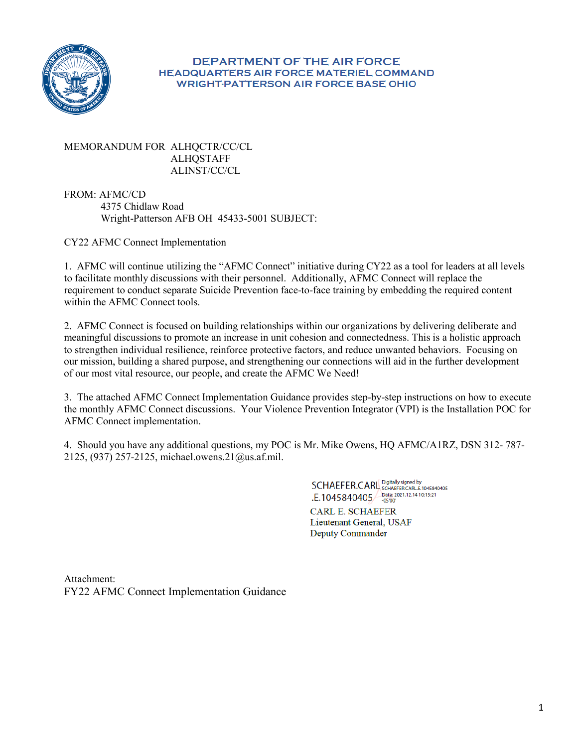

#### **DEPARTMENT OF THE AIR FORCE HEADQUARTERS AIR FORCE MATERIEL COMMAND WRIGHT-PATTERSON AIR FORCE BASE OHIO**

MEMORANDUM FOR ALHQCTR/CC/CL ALHQSTAFF ALINST/CC/CL

 4375 Chidlaw Road Wright-Patterson AFB OH 45433-5001 SUBJECT: FROM: AFMC/CD

CY22 AFMC Connect Implementation

 1. AFMC will continue utilizing the "AFMC Connect" initiative during CY22 as a tool for leaders at all levels to facilitate monthly discussions with their personnel. Additionally, AFMC Connect will replace the requirement to conduct separate Suicide Prevention face-to-face training by embedding the required content within the AFMC Connect tools.

 2. AFMC Connect is focused on building relationships within our organizations by delivering deliberate and meaningful discussions to promote an increase in unit cohesion and connectedness. This is a holistic approach to strengthen individual resilience, reinforce protective factors, and reduce unwanted behaviors. Focusing on our mission, building a shared purpose, and strengthening our connections will aid in the further development of our most vital resource, our people, and create the AFMC We Need!

 3. The attached AFMC Connect Implementation Guidance provides step-by-step instructions on how to execute the monthly AFMC Connect discussions. Your Violence Prevention Integrator (VPI) is the Installation POC for AFMC Connect implementation.

 4. Should you have any additional questions, my POC is Mr. Mike Owens, HQ AFMC/A1RZ, DSN 312- 787- 2125, (937) 257-2125[, michael.owens.21@us.af.mil.](mailto:michael.owens.21@us.af.mil) 

> SCHAEFER.CARL Digitally signed by .E.1045840405 Pate: 2021.12.14 10:15:21

CARL E. SCHAEFER Lieutenant General, USAF Deputy Commander

Attachment: FY22 AFMC Connect Implementation Guidance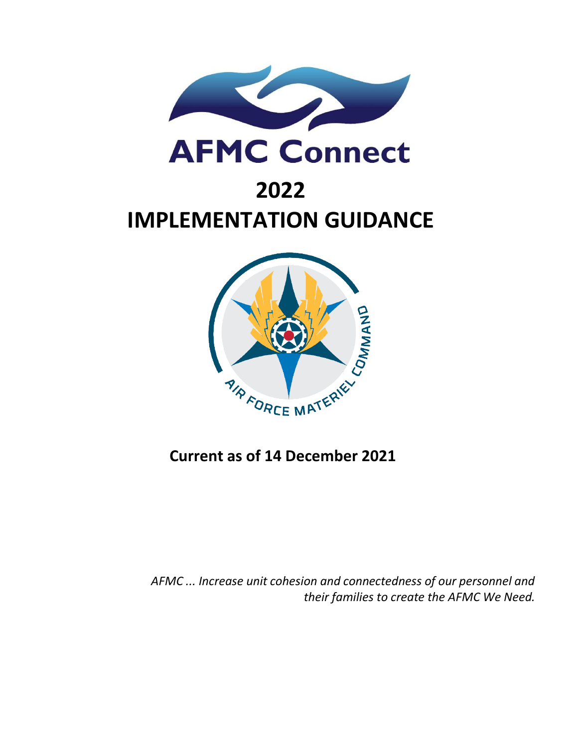

# **IMPLEMENTATION GUIDANCE 2022**



# **Current as of 14 December 2021**

 *AFMC ... Increase unit cohesion and connectedness of our personnel and their families to create the AFMC We Need.*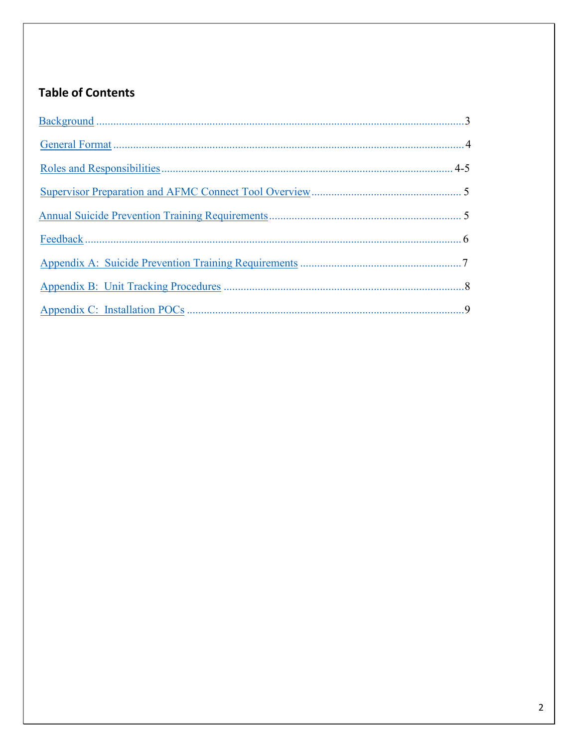# <span id="page-2-0"></span>**Table of Contents**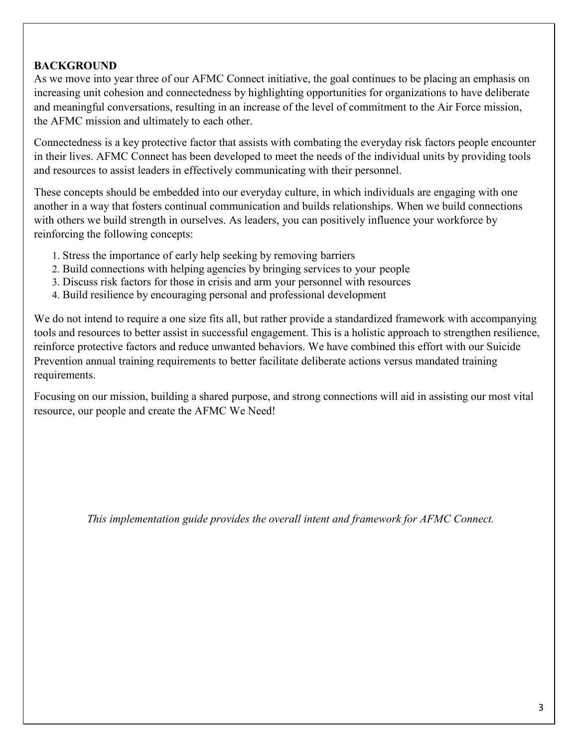# <span id="page-3-0"></span>**BACKGROUND**

 As we move into year three of our AFMC Connect initiative, the goal continues to be placing an emphasis on increasing unit cohesion and connectedness by highlighting opportunities for organizations to have deliberate and meaningful conversations, resulting in an increase of the level of commitment to the Air Force mission, the AFMC mission and ultimately to each other.

 Connectedness is a key protective factor that assists with combating the everyday risk factors people encounter in their lives. AFMC Connect has been developed to meet the needs of the individual units by providing tools and resources to assist leaders in effectively communicating with their personnel.

 These concepts should be embedded into our everyday culture, in which individuals are engaging with one with others we build strength in ourselves. As leaders, you can positively influence your workforce by reinforcing the following concepts: another in a way that fosters continual communication and builds relationships. When we build connections

- 1. Stress the importance of early help seeking by removing barriers
- 2. Build connections with helping agencies by bringing services to your people
- 3. Discuss risk factors for those in crisis and arm your personnel with resources
- 4. Build resilience by encouraging personal and professional development

 tools and resources to better assist in successful engagement. This is a holistic approach to strengthen resilience, Prevention annual training requirements to better facilitate deliberate actions versus mandated training We do not intend to require a one size fits all, but rather provide a standardized framework with accompanying reinforce protective factors and reduce unwanted behaviors. We have combined this effort with our Suicide requirements.

 Focusing on our mission, building a shared purpose, and strong connections will aid in assisting our most vital resource, our people and create the AFMC We Need!

 *This implementation guide provides the overall intent and framework for AFMC Connect.*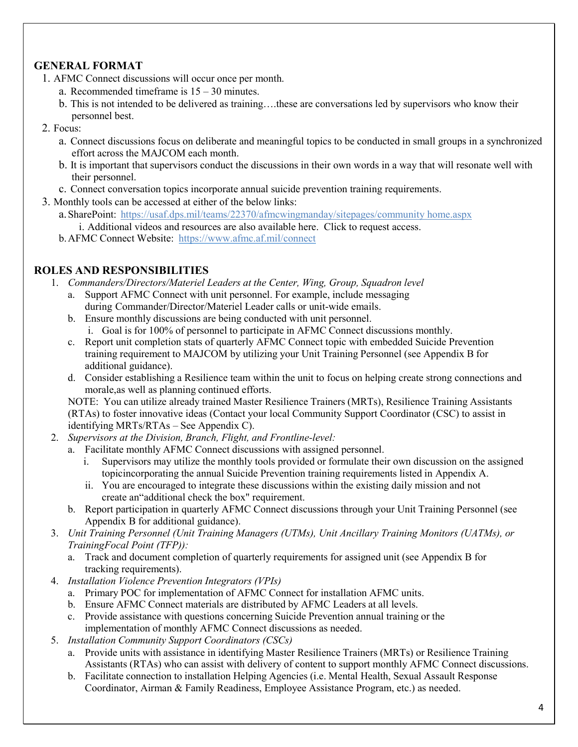# <span id="page-4-1"></span> **GENERAL FORMAT**

- 1. AFMC Connect discussions will occur once per month.
	- a. Recommended timeframe is  $15 30$  minutes.
	- b. This is not intended to be delivered as training….these are conversations led by supervisors who know their personnel best.
- 2. Focus:
	- a. Connect discussions focus on deliberate and meaningful topics to be conducted in small groups in a synchronized effort across the MAJCOM each month.
	- b. It is important that supervisors conduct the discussions in their own words in a way that will resonate well with their personnel.
	- c. Connect conversation topics incorporate annual suicide prevention training requirements.
- 3. Monthly tools can be accessed at either of the below links:
	- a.SharePoint: [https://usaf.dps.mil/teams/22370/afmcwingmanday/sitepages/community home.aspx](https://usaf.dps.mil/teams/22370/afmcwingmanday/sitepages/community%20home.aspx) 
		- i. Additional videos and resources are also available here. Click to request access.
	- b. AFMC Connect Website: https://www.afmc.af.mil/connect

# <span id="page-4-0"></span> **ROLES AND RESPONSIBILITIES**

- 1. *Commanders/Directors/Materiel Leaders at the Center, Wing, Group, Squadron level* 
	- during Commander/Director/Materiel Leader calls or unit-wide emails. a. Support AFMC Connect with unit personnel. For example, include messaging
	- b. Ensure monthly discussions are being conducted with unit personnel. i. Goal is for 100% of personnel to participate in AFMC Connect discussions monthly.
	- training requirement to MAJCOM by utilizing your Unit Training Personnel (see Appendix B for c. Report unit completion stats of quarterly AFMC Connect topic with embedded Suicide Prevention additional guidance).
	- morale,as well as planning continued efforts. d. Consider establishing a Resilience team within the unit to focus on helping create strong connections and

 NOTE: You can utilize already trained Master Resilience Trainers (MRTs), Resilience Training Assistants (RTAs) to foster innovative ideas (Contact your local Community Support Coordinator (CSC) to assist in identifying MRTs/RTAs – See Appendix C).

- 2. *Supervisors at the Division, Branch, Flight, and Frontline-level:* 
	- a. Facilitate monthly AFMC Connect discussions with assigned personnel.
		- i. Supervisors may utilize the monthly tools provided or formulate their own discussion on the assigned topicincorporating the annual Suicide Prevention training requirements listed in Appendix A.
		- create an"additional check the box" requirement. ii. You are encouraged to integrate these discussions within the existing daily mission and not
	- Appendix B for additional guidance). b. Report participation in quarterly AFMC Connect discussions through your Unit Training Personnel (see
- *Training Focal Point (TFP)):*  3. *Unit Training Personnel (Unit Training Managers (UTMs), Unit Ancillary Training Monitors (UATMs), or* 
	- a. Track and document completion of quarterly requirements for assigned unit (see Appendix B for tracking requirements).
- 4. *Installation Violence Prevention Integrators (VPIs)* 
	- a. Primary POC for implementation of AFMC Connect for installation AFMC units.
	- b. Ensure AFMC Connect materials are distributed by AFMC Leaders at all levels.
	- c. Provide assistance with questions concerning Suicide Prevention annual training or the implementation of monthly AFMC Connect discussions as needed.
- 5. *Installation Community Support Coordinators (CSCs)* 
	- a. Provide units with assistance in identifying Master Resilience Trainers (MRTs) or Resilience Training Assistants (RTAs) who can assist with delivery of content to support monthly AFMC Connect discussions.
	- b. Facilitate connection to installation Helping Agencies (i.e. Mental Health, Sexual Assault Response Coordinator, Airman & Family Readiness, Employee Assistance Program, etc.) as needed.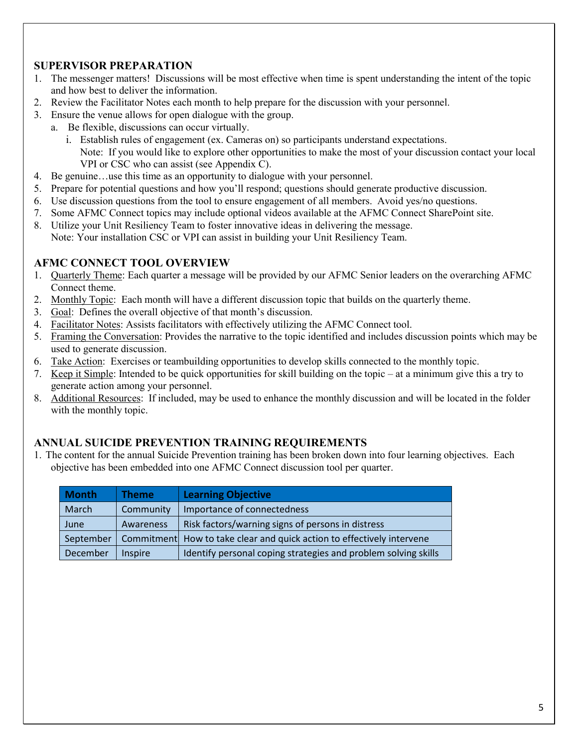# <span id="page-5-1"></span>**SUPERVISOR PREPARATION**

- 1. The messenger matters! Discussions will be most effective when time is spent understanding the intent of the topic and how best to deliver the information.
- 2. Review the Facilitator Notes each month to help prepare for the discussion with your personnel.
- 3. Ensure the venue allows for open dialogue with the group.
	- a. Be flexible, discussions can occur virtually.
		- i. Establish rules of engagement (ex. Cameras on) so participants understand expectations. Note: If you would like to explore other opportunities to make the most of your discussion contact your local VPI or CSC who can assist (see Appendix C).
- 4. Be genuine…use this time as an opportunity to dialogue with your personnel.
- 5. Prepare for potential questions and how you'll respond; questions should generate productive discussion.
- 6. Use discussion questions from the tool to ensure engagement of all members. Avoid yes/no questions.
- 7. Some AFMC Connect topics may include optional videos available at the AFMC Connect SharePoint site.
- 8. Utilize your Unit Resiliency Team to foster innovative ideas in delivering the message. Note: Your installation CSC or VPI can assist in building your Unit Resiliency Team.

#### **AFMC CONNECT TOOL OVERVIEW**

- 1. Quarterly Theme: Each quarter a message will be provided by our AFMC Senior leaders on the overarching AFMC Connect theme.
- 2. Monthly Topic: Each month will have a different discussion topic that builds on the quarterly theme.
- 3. Goal: Defines the overall objective of that month's discussion.
- 4. Facilitator Notes: Assists facilitators with effectively utilizing the AFMC Connect tool.
- 5. Framing the Conversation: Provides the narrative to the topic identified and includes discussion points which may be used to generate discussion.
- 6. Take Action: Exercises or teambuilding opportunities to develop skills connected to the monthly topic.
- 7. Keep it Simple: Intended to be quick opportunities for skill building on the topic at a minimum give this a try to generate action among your personnel.
- 8. Additional Resources: If included, may be used to enhance the monthly discussion and will be located in the folder with the monthly topic.

#### <span id="page-5-0"></span>**ANNUAL SUICIDE PREVENTION TRAINING REQUIREMENTS**

1. The content for the annual Suicide Prevention training has been broken down into four learning objectives. Each objective has been embedded into one AFMC Connect discussion tool per quarter.

| <b>Month</b> | <b>Theme</b>   | <b>Learning Objective</b>                                              |
|--------------|----------------|------------------------------------------------------------------------|
| March        | Community      | Importance of connectedness                                            |
| June         | Awareness      | Risk factors/warning signs of persons in distress                      |
| September    |                | Commitment How to take clear and quick action to effectively intervene |
| December     | <b>Inspire</b> | Identify personal coping strategies and problem solving skills         |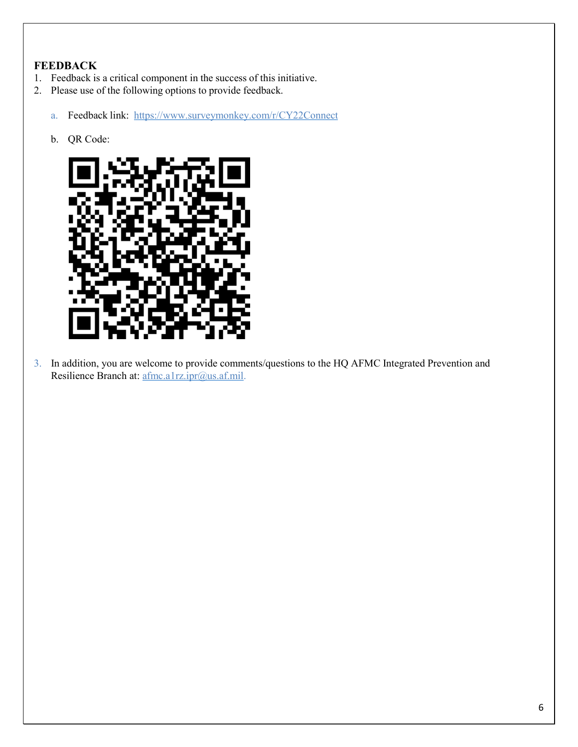# <span id="page-6-0"></span>**FEEDBACK**

- 1. Feedback is a critical component in the success of this initiative.
- 2. Please use of the following options to provide feedback.
	- a. Feedback link: <https://www.surveymonkey.com/r/CY22Connect>
	- b. QR Code:



3. In addition, you are welcome to provide comments/questions to the HQ AFMC Integrated Prevention and Resilience Branch at: afmc.a1rz.ipr@us.af.mil.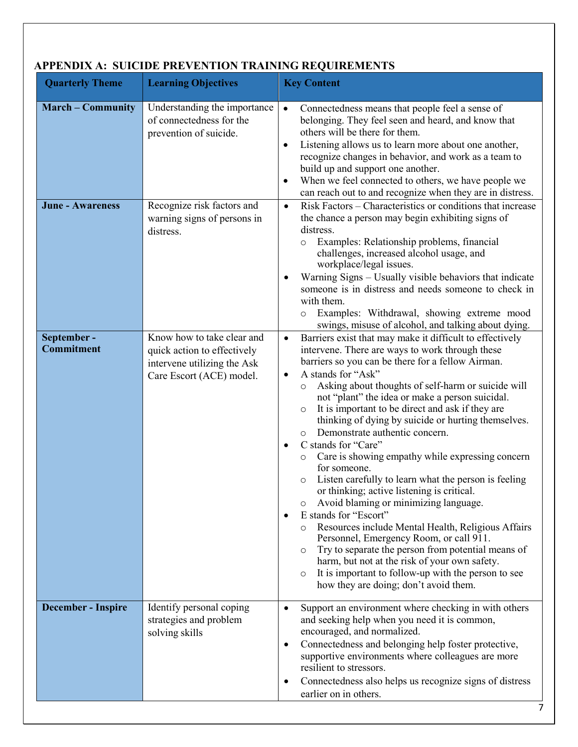| <b>Quarterly Theme</b>                              | ENDIAM. SUICIDE LINE VERTION TIVATING INFORMENTS<br><b>Learning Objectives</b>                                                                  | <b>Key Content</b>                                                                                                                                                                                                                                                                                                                                                                                                                                                                                                                                                                                                                                                                                                                                                                                                                                                                                                                                                                                                                                                                                                                    |
|-----------------------------------------------------|-------------------------------------------------------------------------------------------------------------------------------------------------|---------------------------------------------------------------------------------------------------------------------------------------------------------------------------------------------------------------------------------------------------------------------------------------------------------------------------------------------------------------------------------------------------------------------------------------------------------------------------------------------------------------------------------------------------------------------------------------------------------------------------------------------------------------------------------------------------------------------------------------------------------------------------------------------------------------------------------------------------------------------------------------------------------------------------------------------------------------------------------------------------------------------------------------------------------------------------------------------------------------------------------------|
| <b>March - Community</b><br><b>June - Awareness</b> | Understanding the importance<br>of connectedness for the<br>prevention of suicide.<br>Recognize risk factors and<br>warning signs of persons in | Connectedness means that people feel a sense of<br>$\bullet$<br>belonging. They feel seen and heard, and know that<br>others will be there for them.<br>Listening allows us to learn more about one another,<br>$\bullet$<br>recognize changes in behavior, and work as a team to<br>build up and support one another.<br>When we feel connected to others, we have people we<br>$\bullet$<br>can reach out to and recognize when they are in distress.<br>Risk Factors – Characteristics or conditions that increase<br>$\bullet$<br>the chance a person may begin exhibiting signs of                                                                                                                                                                                                                                                                                                                                                                                                                                                                                                                                               |
|                                                     | distress.                                                                                                                                       | distress.<br>Examples: Relationship problems, financial<br>$\circ$<br>challenges, increased alcohol usage, and<br>workplace/legal issues.<br>Warning Signs - Usually visible behaviors that indicate<br>someone is in distress and needs someone to check in<br>with them.<br>Examples: Withdrawal, showing extreme mood<br>$\circ$<br>swings, misuse of alcohol, and talking about dying.                                                                                                                                                                                                                                                                                                                                                                                                                                                                                                                                                                                                                                                                                                                                            |
| September-<br><b>Commitment</b>                     | Know how to take clear and<br>quick action to effectively<br>intervene utilizing the Ask<br>Care Escort (ACE) model.                            | Barriers exist that may make it difficult to effectively<br>$\bullet$<br>intervene. There are ways to work through these<br>barriers so you can be there for a fellow Airman.<br>A stands for "Ask"<br>$\bullet$<br>Asking about thoughts of self-harm or suicide will<br>$\circ$<br>not "plant" the idea or make a person suicidal.<br>It is important to be direct and ask if they are<br>$\circ$<br>thinking of dying by suicide or hurting themselves.<br>Demonstrate authentic concern.<br>$\circ$<br>C stands for "Care"<br>$\bullet$<br>Care is showing empathy while expressing concern<br>for someone.<br>Listen carefully to learn what the person is feeling<br>or thinking; active listening is critical.<br>Avoid blaming or minimizing language.<br>O<br>E stands for "Escort"<br>Resources include Mental Health, Religious Affairs<br>$\circ$<br>Personnel, Emergency Room, or call 911.<br>Try to separate the person from potential means of<br>$\circ$<br>harm, but not at the risk of your own safety.<br>It is important to follow-up with the person to see<br>$\circ$<br>how they are doing; don't avoid them. |
| <b>December - Inspire</b>                           | Identify personal coping<br>strategies and problem<br>solving skills                                                                            | Support an environment where checking in with others<br>$\bullet$<br>and seeking help when you need it is common,<br>encouraged, and normalized.<br>Connectedness and belonging help foster protective,<br>$\bullet$<br>supportive environments where colleagues are more<br>resilient to stressors.<br>Connectedness also helps us recognize signs of distress<br>$\bullet$<br>earlier on in others.                                                                                                                                                                                                                                                                                                                                                                                                                                                                                                                                                                                                                                                                                                                                 |

# **APPENDIX A: SUICIDE PREVENTION TRAINING REQUIREMENTS**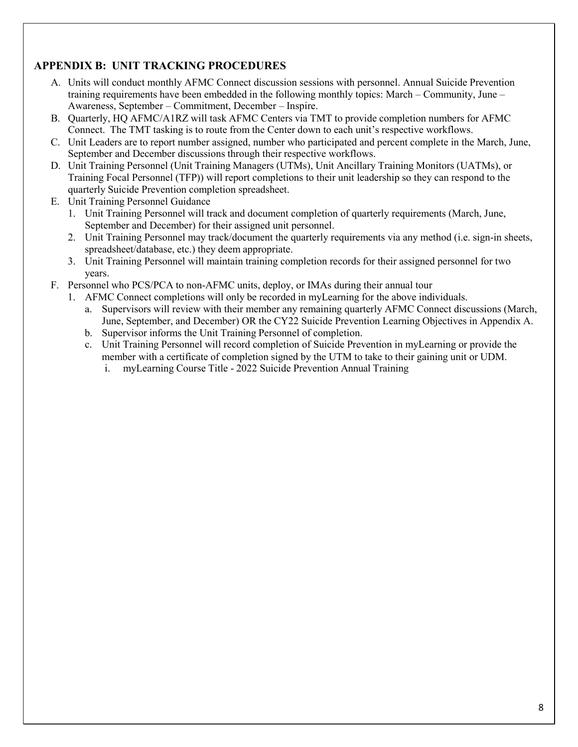# <span id="page-8-0"></span> **APPENDIX B: UNIT TRACKING PROCEDURES**

- training requirements have been embedded in the following monthly topics: March Community, June Awareness, September – Commitment, December – Inspire. A. Units will conduct monthly AFMC Connect discussion sessions with personnel. Annual Suicide Prevention
- B. Quarterly, HQ AFMC/A1RZ will task AFMC Centers via TMT to provide completion numbers for AFMC Connect. The TMT tasking is to route from the Center down to each unit's respective workflows.
- September and December discussions through their respective workflows. C. Unit Leaders are to report number assigned, number who participated and percent complete in the March, June,
- D. Unit Training Personnel (Unit Training Managers (UTMs), Unit Ancillary Training Monitors (UATMs), or Training Focal Personnel (TFP)) will report completions to their unit leadership so they can respond to the quarterly Suicide Prevention completion spreadsheet.
- E. Unit Training Personnel Guidance
	- September and December) for their assigned unit personnel. 1. Unit Training Personnel will track and document completion of quarterly requirements (March, June,
	- spreadsheet/database, etc.) they deem appropriate. 2. Unit Training Personnel may track/document the quarterly requirements via any method (i.e. sign-in sheets,
	- 3. Unit Training Personnel will maintain training completion records for their assigned personnel for two years.
- F. Personnel who PCS/PCA to non-AFMC units, deploy, or IMAs during their annual tour
	- 1. AFMC Connect completions will only be recorded in myLearning for the above individuals.
		- June, September, and December) OR the CY22 Suicide Prevention Learning Objectives in Appendix A. a. Supervisors will review with their member any remaining quarterly AFMC Connect discussions (March,
		- b. Supervisor informs the Unit Training Personnel of completion.
		- member with a certificate of completion signed by the UTM to take to their gaining unit or UDM. c. Unit Training Personnel will record completion of Suicide Prevention in myLearning or provide the
			- i. myLearning Course Title 2022 Suicide Prevention Annual Training